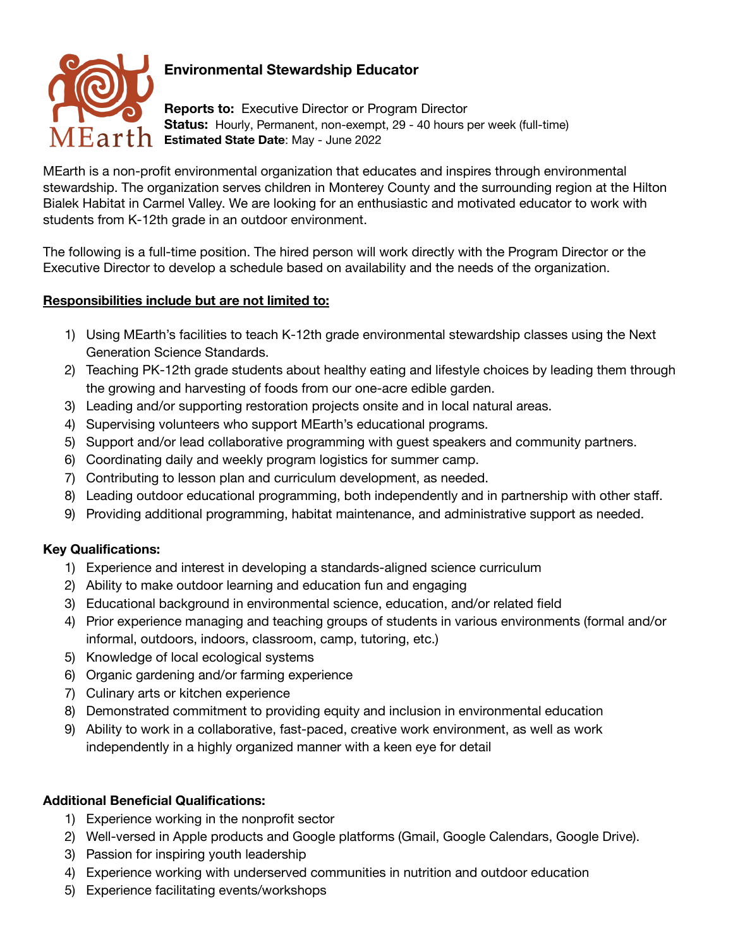

# **Environmental Stewardship Educator**

**Reports to:** Executive Director or Program Director **Status:** Hourly, Permanent, non-exempt, 29 - 40 hours per week (full-time) **Estimated State Date**: May - June 2022

MEarth is a non-profit environmental organization that educates and inspires through environmental stewardship. The organization serves children in Monterey County and the surrounding region at the Hilton Bialek Habitat in Carmel Valley. We are looking for an enthusiastic and motivated educator to work with students from K-12th grade in an outdoor environment.

The following is a full-time position. The hired person will work directly with the Program Director or the Executive Director to develop a schedule based on availability and the needs of the organization.

#### **Responsibilities include but are not limited to:**

- 1) Using MEarth's facilities to teach K-12th grade environmental stewardship classes using the Next Generation Science Standards.
- 2) Teaching PK-12th grade students about healthy eating and lifestyle choices by leading them through the growing and harvesting of foods from our one-acre edible garden.
- 3) Leading and/or supporting restoration projects onsite and in local natural areas.
- 4) Supervising volunteers who support MEarth's educational programs.
- 5) Support and/or lead collaborative programming with guest speakers and community partners.
- 6) Coordinating daily and weekly program logistics for summer camp.
- 7) Contributing to lesson plan and curriculum development, as needed.
- 8) Leading outdoor educational programming, both independently and in partnership with other staff.
- 9) Providing additional programming, habitat maintenance, and administrative support as needed.

## **Key Qualifications:**

- 1) Experience and interest in developing a standards-aligned science curriculum
- 2) Ability to make outdoor learning and education fun and engaging
- 3) Educational background in environmental science, education, and/or related field
- 4) Prior experience managing and teaching groups of students in various environments (formal and/or informal, outdoors, indoors, classroom, camp, tutoring, etc.)
- 5) Knowledge of local ecological systems
- 6) Organic gardening and/or farming experience
- 7) Culinary arts or kitchen experience
- 8) Demonstrated commitment to providing equity and inclusion in environmental education
- 9) Ability to work in a collaborative, fast-paced, creative work environment, as well as work independently in a highly organized manner with a keen eye for detail

#### **Additional Beneficial Qualifications:**

- 1) Experience working in the nonprofit sector
- 2) Well-versed in Apple products and Google platforms (Gmail, Google Calendars, Google Drive).
- 3) Passion for inspiring youth leadership
- 4) Experience working with underserved communities in nutrition and outdoor education
- 5) Experience facilitating events/workshops